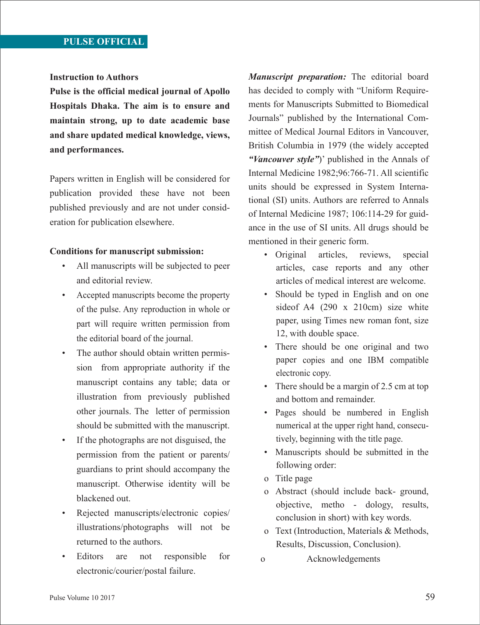## **Instruction to Authors**

**Pulse is the official medical journal of Apollo Hospitals Dhaka. The aim is to ensure and maintain strong, up to date academic base and share updated medical knowledge, views, and performances.**

Papers written in English will be considered for publication provided these have not been published previously and are not under consideration for publication elsewhere.

## **Conditions for manuscript submission:**

- All manuscripts will be subjected to peer and editorial review.
- Accepted manuscripts become the property of the pulse. Any reproduction in whole or part will require written permission from the editorial board of the journal.
- The author should obtain written permission from appropriate authority if the manuscript contains any table; data or illustration from previously published other journals. The letter of permission should be submitted with the manuscript.
- If the photographs are not disguised, the permission from the patient or parents/ guardians to print should accompany the manuscript. Otherwise identity will be blackened out.
- Rejected manuscripts/electronic copies/ illustrations/photographs will not be returned to the authors.
- Editors are not responsible for electronic/courier/postal failure.

*Manuscript preparation:* The editorial board has decided to comply with "Uniform Requirements for Manuscripts Submitted to Biomedical Journals" published by the International Committee of Medical Journal Editors in Vancouver, British Columbia in 1979 (the widely accepted *"Vancouver style"*)' published in the Annals of Internal Medicine 1982;96:766-71. All scientific units should be expressed in System International (SI) units. Authors are referred to Annals of Internal Medicine 1987; 106:114-29 for guidance in the use of SI units. All drugs should be mentioned in their generic form.

- Original articles, reviews, special articles, case reports and any other articles of medical interest are welcome.
- Should be typed in English and on one sideof A4 (290 x 210cm) size white paper, using Times new roman font, size 12, with double space.
- There should be one original and two paper copies and one IBM compatible electronic copy.
- There should be a margin of 2.5 cm at top and bottom and remainder.
- Pages should be numbered in English numerical at the upper right hand, consecutively, beginning with the title page.
- Manuscripts should be submitted in the following order:
- o Title page
- o Abstract (should include back- ground, objective, metho - dology, results, conclusion in short) with key words.
- o Text (Introduction, Materials & Methods, Results, Discussion, Conclusion).
- o Acknowledgements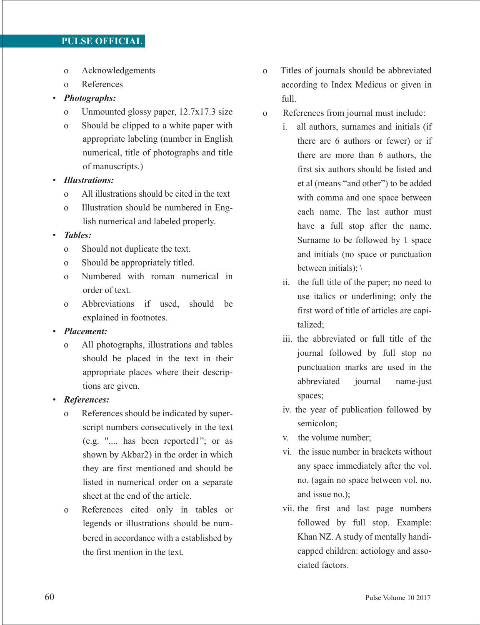# **PULSE OFFICIAL**

- o Acknowledgements
- o References

# • *Photographs:*

- o Unmounted glossy paper, 12.7x17.3 size
- o Should be clipped to a white paper with appropriate labeling (number in English numerical, title of photographs and title of manuscripts.)
- *Illustrations:*
	- o All illustrations should be cited in the text
	- o Illustration should be numbered in English numerical and labeled properly.

### • *Tables:*

- o Should not duplicate the text.
- o Should be appropriately titled.
- o Numbered with roman numerical in order of text.
- o Abbreviations if used, should be explained in footnotes.

# • *Placement:*

 o All photographs, illustrations and tables should be placed in the text in their appropriate places where their descriptions are given.

## • *References:*

- o References should be indicated by superscript numbers consecutively in the text (e.g. ".... has been reported1"; or as shown by Akbar2) in the order in which they are first mentioned and should be listed in numerical order on a separate sheet at the end of the article.
- o References cited only in tables or legends or illustrations should be numbered in accordance with a established by the first mention in the text.
- o Titles of journals should be abbreviated according to Index Medicus or given in full.
- o References from journal must include:
	- i. all authors, surnames and initials (if there are 6 authors or fewer) or if there are more than 6 authors, the first six authors should be listed and et al (means "and other") to be added with comma and one space between each name. The last author must have a full stop after the name. Surname to be followed by 1 space and initials (no space or punctuation between initials); \
	- ii. the full title of the paper; no need to use italics or underlining; only the first word of title of articles are capitalized;
	- iii. the abbreviated or full title of the journal followed by full stop no punctuation marks are used in the abbreviated journal name-just spaces;
	- iv. the year of publication followed by semicolon;
	- v. the volume number;
	- vi. the issue number in brackets without any space immediately after the vol. no. (again no space between vol. no. and issue no.);
	- vii. the first and last page numbers followed by full stop. Example: Khan NZ. A study of mentally handicapped children: aetiology and associated factors.